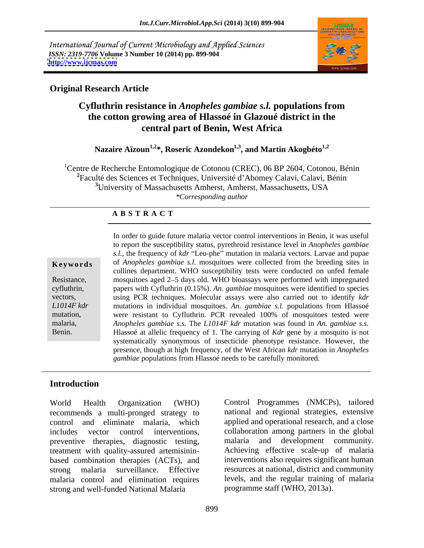International Journal of Current Microbiology and Applied Sciences *ISSN: 2319-7706* **Volume 3 Number 10 (2014) pp. 899-904 <http://www.ijcmas.com>**



### **Original Research Article**

# **Cyfluthrin resistance in** *Anopheles gambiae s.l.* **populations from the cotton growing area of Hlassoé in Glazoué district in the central part of Benin, West Africa**

Nazaire Aïzoun<sup>1,2\*</sup>, Roseric Azondekon<sup>1,3</sup>, and Martin Akogbéto<sup>1,2</sup>

<sup>1</sup>Centre de Recherche Entomologique de Cotonou (CREC), 06 BP 2604, Cotonou, Bénin <sup>2</sup>Faculté des Sciences et Techniques, Université d'Abomey Calavi, Calavi, Bénin **<sup>3</sup>**University of Massachusetts Amherst, Amherst, Massachusetts, USA *\*Corresponding author*

### **A B S T R A C T**

**Keywords** of *Anopheles gambiae s.l.* mosquitoes were collected from the breeding sites in Resistance, mosquitoes aged 2–5 days old. WHO bioassays were performed with impregnated cyfluthrin, papers with Cyfluthrin (0.15%). *An. gambiae* mosquitoes were identified to species vectors, using PCR techniques. Molecular assays were also carried out to identify *kdr L1014F kdr* mutations in individual mosquitoes. *An. gambiae s.l.* populations from Hlassoé mutation, were resistant to Cyfluthrin. PCR revealed 100% of mosquitoes tested were malaria, *Anopheles gambiae s.s*. The *L1014F kdr* mutation was found in *An. gambiae s.s.* Benin. **Hlassoé at allelic frequency of 1.** The carrying of *Kdr* gene by a mosquito is not In order to guide future malaria vector control interventions in Benin, it was useful to report the susceptibility status, pyrethroid resistance level in *Anopheles gambiae s.l.*, the frequency of *kdr* "Leu-phe" mutation in malaria vectors. Larvae and pupae collines department. WHO susceptibility tests were conducted on unfed female systematically synonymous of insecticide phenotype resistance. However, the presence, though at high frequency, of the West African *kdr* mutation in *Anopheles gambiae* populations from Hlassoé needs to be carefully monitored.

## **Introduction**

recommends a multi-pronged strategy to control and eliminate malaria, which applied and operational research, and a close includes vector control interventions, collaboration among partners in the global preventive therapies, diagnostic testing, treatment with quality-assured artemisinin based combination therapies (ACTs), and strong malaria surveillance. Effective resources at national, district and community malaria control and elimination requires strong and well-funded National Malaria

World Health Organization (WHO) Control Programmes (NMCPs), tailored national and regional strategies, extensive development community. Achieving effective scale-up of malaria interventions also requires significant human levels, and the regular training of malaria programme staff (WHO, 2013a).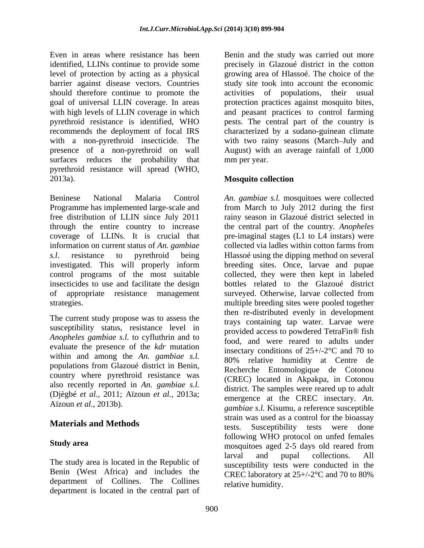Even in areas where resistance has been Benin and the study was carried out more identified, LLINs continue to provide some precisely in Glazoué district in the cotton level of protection by acting as a physical barrier against disease vectors. Countries study site took into account the economic should therefore continue to promote the activities of populations, their usual goal of universal LLIN coverage. In areas with high levels of LLIN coverage in which and peasant practices to control farming pyrethroid resistance is identified, WHO pests. The central part of the country is recommends the deployment of focal IRS characterized by a sudano-guinean climate with a non-pyrethroid insecticide. The with two rainy seasons (March–July and presence of a non-pyrethroid on wall August) with an average rainfall of 1,000 surfaces reduces the probability that pyrethroid resistance will spread (WHO,<br>2013a). **Mosquito collection** 

free distribution of LLIN since July 2011 through the entire country to increase information on current status of *An. gambiae* insecticides to use and facilitate the design of appropriate resistance management

The current study propose was to assess the susceptibility status, resistance level in *Anopheles gambiae s.l.* to cyfluthrin and to evaluate the presence of the *kdr* mutation within and among the *An. gambiae s.l.* populations from Glazoué district in Benin, country where pyrethroid resistance was also recently reported in *An. gambiae s.l.* (Djègbé *et al.*, 2011; Aïzoun *et al.*, 2013a;

Benin (West Africa) and includes the department of Collines. The Collines department is located in the central part of

growing area of Hlassoé. The choice of the activities of populations, protection practices against mosquito bites, mm per year.

### **Mosquito collection**

Beninese National Malaria Control *An. gambiae s.l.* mosquitoes were collected Programme has implemented large-scale and from March to July 2012 during the first coverage of LLINs. It is crucial that pre-imaginal stages (L1 to L4 instars) were *s.l*. resistance to pyrethroid being Hlassoé using the dipping method on several investigated. This will properly inform breeding sites. Once, larvae and pupae control programs of the most suitable collected, they were then kept in labeled strategies. multiple breeding sites were pooled together Aïzoun *et al.*, 2013b). *gambiae s.l.* Kisumu, a reference susceptible **Materials and Methods** estate the second of the second of the second of the second of the second of the second of the second of the second of the second of the second of the second of the second of the second of the secon **Study area EXECUTE: EXECUTE: FORCE THE CONSERVATION Study area mosquitoes** aged 2-5 days old reared from The study area is located in the Republic of larval and pupal collections. rainy season in Glazoué district selected in the central part of the country*. Anopheles* collected via ladles within cotton farms from bottles related to the Glazoué district surveyed. Otherwise, larvae collected from then re-distributed evenly in development trays containing tap water. Larvae were provided access to powdered TetraFin® fish food, and were reared to adults under insectary conditions of  $25 + (-2^{\circ}C)$  and 70 to 80% relative humidity at Centre de Recherche Entomologique de Cotonou (CREC) located in Akpakpa, in Cotonou district. The samples were reared up to adult emergence at the CREC insectary. *An.*  strain was used as a control for the bioassay tests. Susceptibility tests were done following WHO protocol on unfed females larval and pupal collections. All susceptibility tests were conducted in the CREC laboratory at 25+/-2°C and 70 to 80% relative humidity.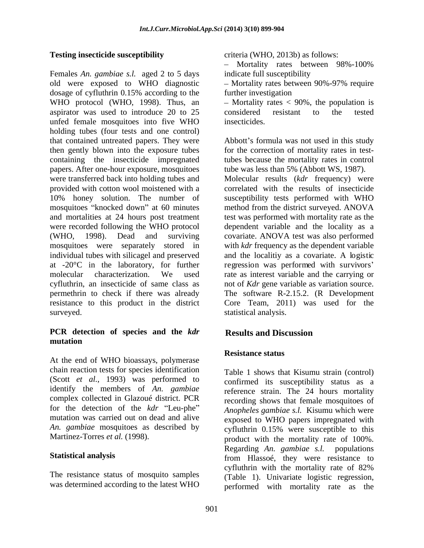Females *An. gambiae s.l.* aged 2 to 5 days old were exposed to WHO diagnostic - Mortality rates between 90%-97% require dosage of cyfluthrin 0.15% according to the further investigation dosage of cyfluthrin 0.15% according to the further investigation WHO protocol (WHO, 1998). Thus, an  $-$  Mortality rates  $<$  90%, the population is aspirator was used to introduce 20 to 25 considered resistant to the tested unfed female mosquitoes into five WHO holding tubes (four tests and one control) that contained untreated papers. They were Abbott's formula was not used in this study then gently blown into the exposure tubes for the correction of mortality rates in testcontaining the insecticide impregnated tubes because the mortality rates in control papers. After one-hour exposure, mosquitoes tube was less than 5% (Abbott WS, 1987). were transferred back into holding tubes and Molecular results (kdr frequency) were provided with cotton wool moistened with a 10% honey solution. The number of susceptibility tests performed with WHO mosquitoes "knocked down" at 60 minutes and mortalities at 24 hours post treatment test was performed with mortality rate as the were recorded following the WHO protocol dependent variable and the locality as a (WHO, 1998). Dead and surviving covariate. ANOVA test was also performed mosquitoes were separately stored in with *kdr* frequency as the dependent variable individual tubes with silicagel and preserved and the localitiy as a covariate. A logistic at -20<sup>o</sup>C in the laboratory, for further regression was performed with survivors' molecular characterization. We used rate as interest variable and the carrying or cyfluthrin, an insecticide of same class as not of *Kdr* gene variable as variation source. permethrin to check if there was already The software R-2.15.2. (R Development resistance to this product in the district Core Team, 2011) was used for the surveyed. The statistical analysis.

### **PCR detection of species and the** *kdr* **mutation**

At the end of WHO bioassays, polymerase chain reaction tests for species identification (Scott *et al.*, 1993) was performed to identify the members of *An. gambiae* complex collected in Glazoué district. PCR for the detection of the *kdr* "Leu-phe" mutation was carried out on dead and alive

The resistance status of mosquito samples

**Testing insecticide susceptibility** criteria (WHO, 2013b) as follows:

 $\mathbf{r}$ Mortality rates between 98%-100% indicate full susceptibility

Mortality rates between 90%-97% require further investigation

considered resistant to the tested insecticides.

tube was less than 5% (Abbott WS, 1987). Molecular results (*kdr* frequency) were correlated with the results of insecticide method from the district surveyed. ANOVA

## **Results and Discussion**

### **Resistance status**

*An. gambiae* mosquitoes as described by cyfluthrin 0.15% were susceptible to this Martinez-Torres *et al.* (1998). product with the mortality rate of 100%. Statistical analysis from Hlassoé, they were resistance to was determined according to the latest WHO performed with mortality rate as the Table 1 shows that Kisumu strain (control) confirmed its susceptibility status as a reference strain. The 24 hours mortality recording shows that female mosquitoes of *Anopheles gambiae s.l.* Kisumu which were exposed to WHO papers impregnated with Regarding *An. gambiae s.l.* populations cyfluthrin with the mortality rate of 82% (Table 1). Univariate logistic regression,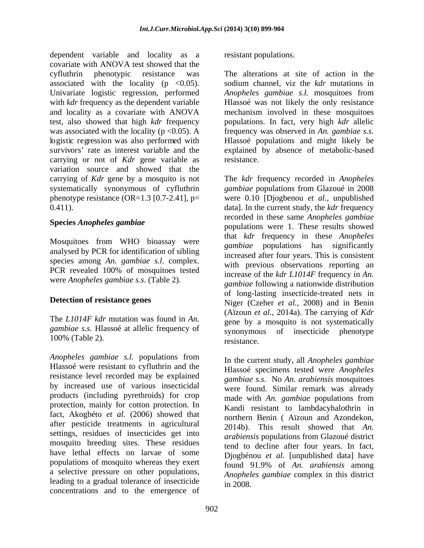dependent variable and locality as a covariate with ANOVA test showed that the cyfluthrin phenotypic resistance was The alterations at site of action in the associated with the locality (p <0.05). sodium channel, viz the *kdr* mutations in Univariate logistic regression, performed *Anopheles gambiae s.l.* mosquitoes from with *kdr* frequency as the dependent variable **Hlasso** was not likely the only resistance and locality as a covariate with ANOVA mechanism involved in these mosquitoes test, also showed that high *kdr* frequency populations. In fact, very high *kdr* allelic was associated with the locality (p <0.05). A frequency was observed in *An. gambiae s.s.* logistic regression was also performed with Hlassoé populations and might likely be survivors' rate as interest variable and the explained by absence of metabolic-based carrying or not of *Kdr* gene variable as resistance. variation source and showed that the

Mosquitoes from WHO bioassay were analysed by PCR for identification of sibling species among *An. gambiae s.l*. complex. PCR revealed 100% of mosquitoes tested were *Anopheles gambiae s.s*. (Table 2).

The *L1014F kdr* mutation was found in *An. gambiae s.s.* Hlassoé at allelic frequency of synonymous 100% (Table 2). resistance.

*Anopheles gambiae s.l.* populations from Hlassoé were resistant to cyfluthrin and the resistance level recorded may be explained by increased use of various insecticidal products (including pyrethroids) for crop protection, mainly for cotton protection. In fact, Akogbéto *et al.* (2006) showed that after pesticide treatments in agricultural and approximate treatments in agricultural and approximate that And settings, residues of insecticides get into mosquito breeding sites. These residues have lethal effects on larvae of some populations of mosquito whereas they exert  $\frac{2}{3}$  found 91.9% of An. arabiensis among a selective pressure on other populations, leading to a gradual tolerance of insecticide concentrations and to the emergence of

resistant populations.

resistance.

carrying of *Kdr* gene by a mosquito is not The *kdr* frequency recorded in *Anopheles* systematically synonymous of cyfluthrin *gambiae* populations from Glazoué in 2008 phenotype resistance (OR=1.3 [0.7-2.41], p= were 0.10 [Djogbenou *et al.*, unpublished 0.411). data]. In the current study, the *kdr* frequency **Species** *Anopheles gambiae*<br>populations were 1. These results showed **Detection of resistance genes**<br>
Niger (Czeher *et al.*, 2008) and in Benin recorded in these same *Anopheles gambiae* that *kdr* frequency in these *Anopheles gambiae* populations has significantly increased after four years. This is consistent with previous observations reporting an increase of the *kdr L1014F* frequency in *An. gambiae* following a nationwide distribution of long-lasting insecticide-treated nets in (Aïzoun *et al.*, 2014a). The carrying of *Kdr* gene by a mosquito is not systematically of insecticide phenotype resistance.

> In the current study, all *Anopheles gambiae* Hlassoé specimens tested were *Anopheles gambiae s.s.* No *An. arabiensis* mosquitoes were found. Similar remark was already made with *An. gambiae* populations from Kandi resistant to lambdacyhalothrin in northern Benin ( Aïzoun and Azondekon, 2014b). This result showed that *An. arabiensis* populations from Glazoué district tend to decline after four years. In fact, Djogbénou *et al.* [unpublished data] have found 91.9% of *An. arabiensis* among *Anopheles gambiae* complex in this district in 2008.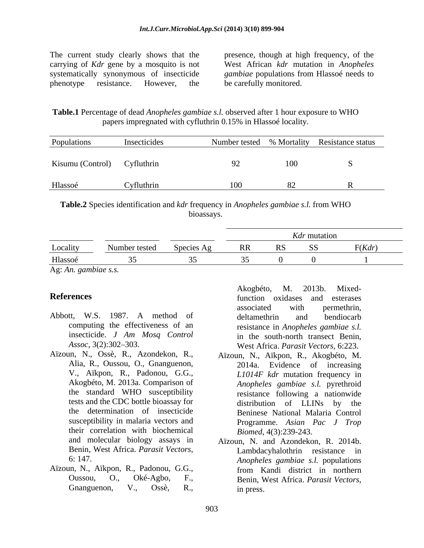The current study clearly shows that the presence, though at high frequency, of the carrying of *Kdr* gene by a mosquito is not West African *kdr* mutation in *Anopheles*  systematically synonymous of insecticide *gambiae* populations from Hlassoé needs to phenotype resistance. However, the be carefully monitored.

**Table.1** Percentage of dead *Anopheles gambiae s.l.* observed after 1 hour exposure to WHO papers impregnated with cyfluthrin 0.15% in Hlassoé locality.

| Populations                 | Insecticides |  | Number tested % Mortality Resistance status |
|-----------------------------|--------------|--|---------------------------------------------|
| Kisumu (Control) Cyfluthrin |              |  |                                             |
| Hlassoé                     | Cyfluthrin   |  |                                             |

**Table.2** Species identification and *kdr* frequency in *Anopheles gambiae s.l.* from WHO bioassays.

|                                                    |               |            |    | Kdr mutation |        |
|----------------------------------------------------|---------------|------------|----|--------------|--------|
| Locality                                           | Number tested | Species Ag | RR |              | F(Kdr) |
| Hlassoé                                            |               |            |    |              |        |
| $\mathbf{r}$ , and $\mathbf{r}$ , and $\mathbf{r}$ |               |            |    |              |        |

Ag: *An. gambiae s.s.*

- Abbott, W.S. 1987. A method of
- Aïzoun, N., Ossè, R., Azondekon, R., V., Aïkpon, R., Padonou, G.G., susceptibility in malaria vectors and their correlation with biochemical **EXECTS:** The method of the distance in the distance in the solution or the statementinin, and the statementining the effectiveness of an estistance in *Appheles gambiae s.l.*<br>
Insecticide *J Am Mosq Control* in the south
- Aïzoun, N., Aïkpon, R., Padonou, G.G.,

**References EXECUTE: FUNCTION EXECUTE: EXECUTE: EXECUTE: EXECUTE: EXECUTE: EXECUTE: EXECUTE: EXECUTE: EXECUTE: EXECUTE: EXECUTE: EXECUTE: EXECUTE: EXECUTE: EXECUTE: EXECUTE: EXECUTE:** computing the effectiveness of an resistance in *Anopheles gambiae s.l.* insecticide. *J Am Mosq Control* in the south-north transect Benin, *Assoc*, 3(2):302 303. West Africa. *Parasit Vectors*, 6:223*.* associated with permethrin, deltamethrin and bendiocarb

- Alia, R., Oussou, O., Gnanguenon, Akogbéto, M. 2013a. Comparison of *Anopheles gambiae s.l.* pyrethroid the standard WHO susceptibility resistance following a nationwide tests and the CDC bottle bioassay for distribution of LLINs by the the determination of insecticide Beninese National Malaria Control Aïzoun, N., Aïkpon, R., Akogbéto, M. 2014a. Evidence of increasing *L1014F kdr* mutation frequency in resistance following a nationwide distribution of LLINs by Programme. *Asian Pac J Trop Biomed*, 4(3):239-243.
- and molecular biology assays in Aïzoun, N. and Azondekon, R. 2014b.<br>Benin, West Africa. *Parasit Vectors*, Lambdacyhalothrin resistance in 6: 147. *Anopheles gambiae s.l.* populations Aïzoun, N. and Azondekon, R. 2014b. Lambdacyhalothrin resistance in from Kandi district in northern Benin, West Africa. *Parasit Vectors*, in press.